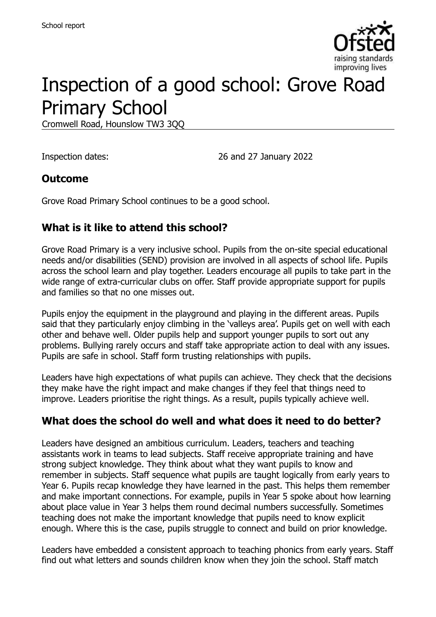

# Inspection of a good school: Grove Road Primary School

Cromwell Road, Hounslow TW3 3QQ

Inspection dates: 26 and 27 January 2022

#### **Outcome**

Grove Road Primary School continues to be a good school.

# **What is it like to attend this school?**

Grove Road Primary is a very inclusive school. Pupils from the on-site special educational needs and/or disabilities (SEND) provision are involved in all aspects of school life. Pupils across the school learn and play together. Leaders encourage all pupils to take part in the wide range of extra-curricular clubs on offer. Staff provide appropriate support for pupils and families so that no one misses out.

Pupils enjoy the equipment in the playground and playing in the different areas. Pupils said that they particularly enjoy climbing in the 'valleys area'. Pupils get on well with each other and behave well. Older pupils help and support younger pupils to sort out any problems. Bullying rarely occurs and staff take appropriate action to deal with any issues. Pupils are safe in school. Staff form trusting relationships with pupils.

Leaders have high expectations of what pupils can achieve. They check that the decisions they make have the right impact and make changes if they feel that things need to improve. Leaders prioritise the right things. As a result, pupils typically achieve well.

# **What does the school do well and what does it need to do better?**

Leaders have designed an ambitious curriculum. Leaders, teachers and teaching assistants work in teams to lead subjects. Staff receive appropriate training and have strong subject knowledge. They think about what they want pupils to know and remember in subjects. Staff sequence what pupils are taught logically from early years to Year 6. Pupils recap knowledge they have learned in the past. This helps them remember and make important connections. For example, pupils in Year 5 spoke about how learning about place value in Year 3 helps them round decimal numbers successfully. Sometimes teaching does not make the important knowledge that pupils need to know explicit enough. Where this is the case, pupils struggle to connect and build on prior knowledge.

Leaders have embedded a consistent approach to teaching phonics from early years. Staff find out what letters and sounds children know when they join the school. Staff match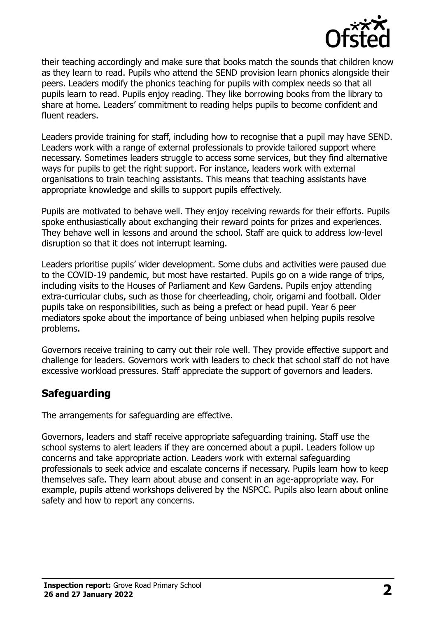

their teaching accordingly and make sure that books match the sounds that children know as they learn to read. Pupils who attend the SEND provision learn phonics alongside their peers. Leaders modify the phonics teaching for pupils with complex needs so that all pupils learn to read. Pupils enjoy reading. They like borrowing books from the library to share at home. Leaders' commitment to reading helps pupils to become confident and fluent readers.

Leaders provide training for staff, including how to recognise that a pupil may have SEND. Leaders work with a range of external professionals to provide tailored support where necessary. Sometimes leaders struggle to access some services, but they find alternative ways for pupils to get the right support. For instance, leaders work with external organisations to train teaching assistants. This means that teaching assistants have appropriate knowledge and skills to support pupils effectively.

Pupils are motivated to behave well. They enjoy receiving rewards for their efforts. Pupils spoke enthusiastically about exchanging their reward points for prizes and experiences. They behave well in lessons and around the school. Staff are quick to address low-level disruption so that it does not interrupt learning.

Leaders prioritise pupils' wider development. Some clubs and activities were paused due to the COVID-19 pandemic, but most have restarted. Pupils go on a wide range of trips, including visits to the Houses of Parliament and Kew Gardens. Pupils enjoy attending extra-curricular clubs, such as those for cheerleading, choir, origami and football. Older pupils take on responsibilities, such as being a prefect or head pupil. Year 6 peer mediators spoke about the importance of being unbiased when helping pupils resolve problems.

Governors receive training to carry out their role well. They provide effective support and challenge for leaders. Governors work with leaders to check that school staff do not have excessive workload pressures. Staff appreciate the support of governors and leaders.

#### **Safeguarding**

The arrangements for safeguarding are effective.

Governors, leaders and staff receive appropriate safeguarding training. Staff use the school systems to alert leaders if they are concerned about a pupil. Leaders follow up concerns and take appropriate action. Leaders work with external safeguarding professionals to seek advice and escalate concerns if necessary. Pupils learn how to keep themselves safe. They learn about abuse and consent in an age-appropriate way. For example, pupils attend workshops delivered by the NSPCC. Pupils also learn about online safety and how to report any concerns.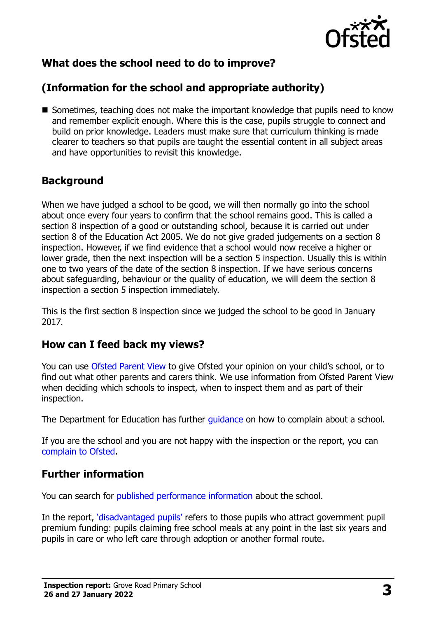

# **What does the school need to do to improve?**

# **(Information for the school and appropriate authority)**

■ Sometimes, teaching does not make the important knowledge that pupils need to know and remember explicit enough. Where this is the case, pupils struggle to connect and build on prior knowledge. Leaders must make sure that curriculum thinking is made clearer to teachers so that pupils are taught the essential content in all subject areas and have opportunities to revisit this knowledge.

### **Background**

When we have judged a school to be good, we will then normally go into the school about once every four years to confirm that the school remains good. This is called a section 8 inspection of a good or outstanding school, because it is carried out under section 8 of the Education Act 2005. We do not give graded judgements on a section 8 inspection. However, if we find evidence that a school would now receive a higher or lower grade, then the next inspection will be a section 5 inspection. Usually this is within one to two years of the date of the section 8 inspection. If we have serious concerns about safeguarding, behaviour or the quality of education, we will deem the section 8 inspection a section 5 inspection immediately.

This is the first section 8 inspection since we judged the school to be good in January 2017.

#### **How can I feed back my views?**

You can use [Ofsted Parent View](https://parentview.ofsted.gov.uk/) to give Ofsted your opinion on your child's school, or to find out what other parents and carers think. We use information from Ofsted Parent View when deciding which schools to inspect, when to inspect them and as part of their inspection.

The Department for Education has further quidance on how to complain about a school.

If you are the school and you are not happy with the inspection or the report, you can [complain to Ofsted.](https://www.gov.uk/complain-ofsted-report)

#### **Further information**

You can search for [published performance information](http://www.compare-school-performance.service.gov.uk/) about the school.

In the report, '[disadvantaged pupils](http://www.gov.uk/guidance/pupil-premium-information-for-schools-and-alternative-provision-settings)' refers to those pupils who attract government pupil premium funding: pupils claiming free school meals at any point in the last six years and pupils in care or who left care through adoption or another formal route.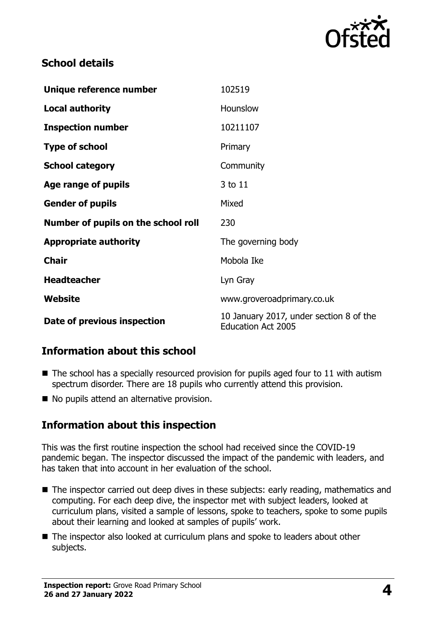

### **School details**

| Unique reference number             | 102519                                                               |
|-------------------------------------|----------------------------------------------------------------------|
| <b>Local authority</b>              | Hounslow                                                             |
| <b>Inspection number</b>            | 10211107                                                             |
| <b>Type of school</b>               | Primary                                                              |
| <b>School category</b>              | Community                                                            |
| Age range of pupils                 | 3 to 11                                                              |
| <b>Gender of pupils</b>             | Mixed                                                                |
| Number of pupils on the school roll | 230                                                                  |
| <b>Appropriate authority</b>        | The governing body                                                   |
| <b>Chair</b>                        | Mobola Ike                                                           |
| <b>Headteacher</b>                  | Lyn Gray                                                             |
| Website                             | www.groveroadprimary.co.uk                                           |
| Date of previous inspection         | 10 January 2017, under section 8 of the<br><b>Education Act 2005</b> |

# **Information about this school**

- $\blacksquare$  The school has a specially resourced provision for pupils aged four to 11 with autism spectrum disorder. There are 18 pupils who currently attend this provision.
- No pupils attend an alternative provision.

#### **Information about this inspection**

This was the first routine inspection the school had received since the COVID-19 pandemic began. The inspector discussed the impact of the pandemic with leaders, and has taken that into account in her evaluation of the school.

- The inspector carried out deep dives in these subjects: early reading, mathematics and computing. For each deep dive, the inspector met with subject leaders, looked at curriculum plans, visited a sample of lessons, spoke to teachers, spoke to some pupils about their learning and looked at samples of pupils' work.
- The inspector also looked at curriculum plans and spoke to leaders about other subjects.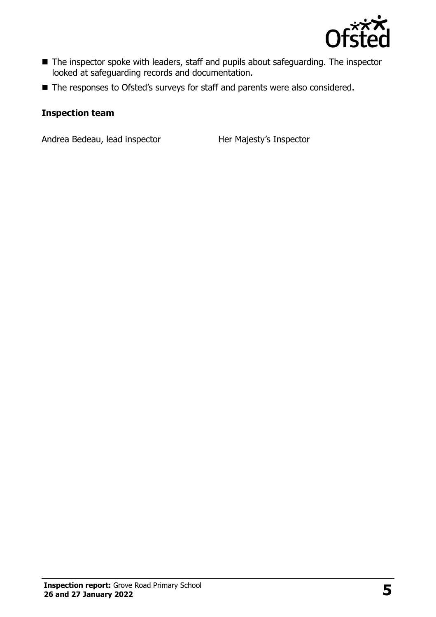

- The inspector spoke with leaders, staff and pupils about safeguarding. The inspector looked at safeguarding records and documentation.
- The responses to Ofsted's surveys for staff and parents were also considered.

#### **Inspection team**

Andrea Bedeau, lead inspector Her Majesty's Inspector